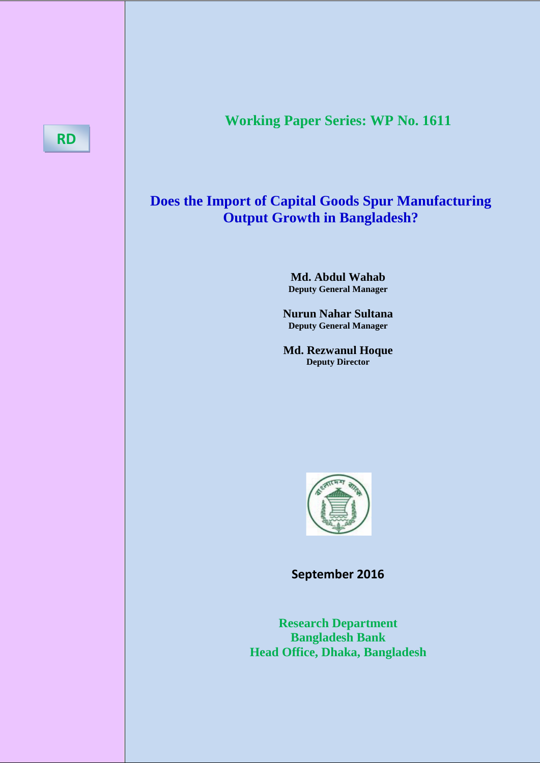# **Working Paper Series: WP No. 1611**

## **Does the Import of Capital Goods Spur Manufacturing Output Growth in Bangladesh?**

**Md. Abdul Wahab Deputy General Manager**

**Nurun Nahar Sultana Deputy General Manager**

**Md. Rezwanul Hoque Deputy Director**



**September 2016**

**Research Department Bangladesh Bank Head Office, Dhaka, Bangladesh**

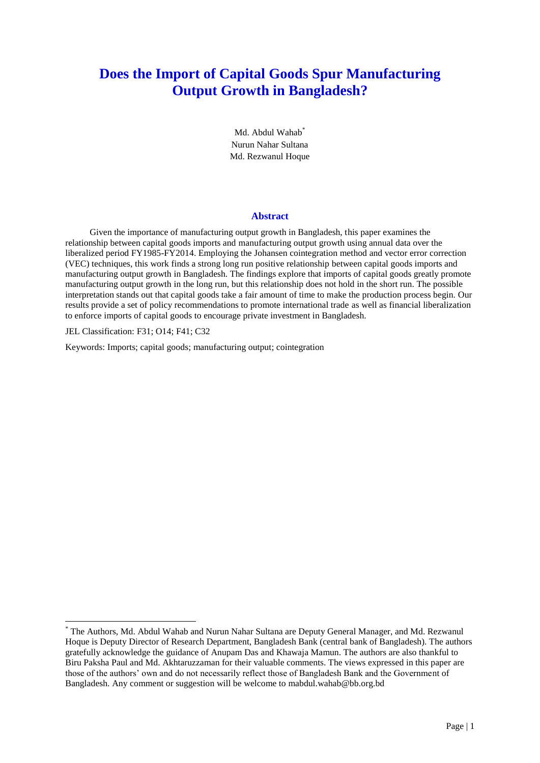## **Does the Import of Capital Goods Spur Manufacturing Output Growth in Bangladesh?**

Md. Abdul Wahab<sup>\*</sup> Nurun Nahar Sultana Md. Rezwanul Hoque

#### **Abstract**

Given the importance of manufacturing output growth in Bangladesh, this paper examines the relationship between capital goods imports and manufacturing output growth using annual data over the liberalized period FY1985-FY2014. Employing the Johansen cointegration method and vector error correction (VEC) techniques, this work finds a strong long run positive relationship between capital goods imports and manufacturing output growth in Bangladesh. The findings explore that imports of capital goods greatly promote manufacturing output growth in the long run, but this relationship does not hold in the short run. The possible interpretation stands out that capital goods take a fair amount of time to make the production process begin. Our results provide a set of policy recommendations to promote international trade as well as financial liberalization to enforce imports of capital goods to encourage private investment in Bangladesh.

JEL Classification: F31; O14; F41; C32

**.** 

Keywords: Imports; capital goods; manufacturing output; cointegration

<sup>\*</sup> The Authors, Md. Abdul Wahab and Nurun Nahar Sultana are Deputy General Manager, and Md. Rezwanul Hoque is Deputy Director of Research Department, Bangladesh Bank (central bank of Bangladesh). The authors gratefully acknowledge the guidance of Anupam Das and Khawaja Mamun. The authors are also thankful to Biru Paksha Paul and Md. Akhtaruzzaman for their valuable comments. The views expressed in this paper are those of the authors' own and do not necessarily reflect those of Bangladesh Bank and the Government of Bangladesh. Any comment or suggestion will be welcome to mabdul.wahab@bb.org.bd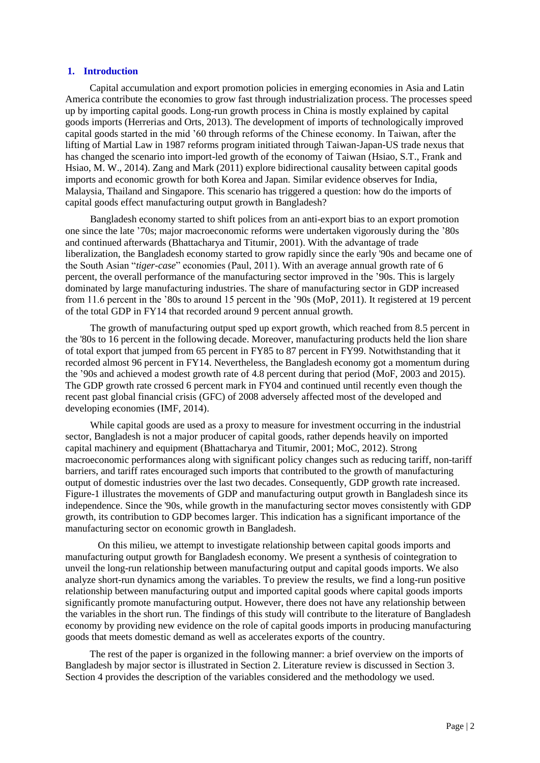## **1. Introduction**

Capital accumulation and export promotion policies in emerging economies in Asia and Latin America contribute the economies to grow fast through industrialization process. The processes speed up by importing capital goods. Long-run growth process in China is mostly explained by capital goods imports (Herrerias and Orts, 2013). The development of imports of technologically improved capital goods started in the mid '60 through reforms of the Chinese economy. In Taiwan, after the lifting of Martial Law in 1987 reforms program initiated through Taiwan-Japan-US trade nexus that has changed the scenario into import-led growth of the economy of Taiwan (Hsiao, S.T., Frank and Hsiao, M. W., 2014). Zang and Mark (2011) explore bidirectional causality between capital goods imports and economic growth for both Korea and Japan. Similar evidence observes for India, Malaysia, Thailand and Singapore. This scenario has triggered a question: how do the imports of capital goods effect manufacturing output growth in Bangladesh?

Bangladesh economy started to shift polices from an anti-export bias to an export promotion one since the late '70s; major macroeconomic reforms were undertaken vigorously during the '80s and continued afterwards (Bhattacharya and Titumir, 2001). With the advantage of trade liberalization, the Bangladesh economy started to grow rapidly since the early '90s and became one of the South Asian "*tiger-case*" economies (Paul, 2011). With an average annual growth rate of 6 percent, the overall performance of the manufacturing sector improved in the '90s. This is largely dominated by large manufacturing industries. The share of manufacturing sector in GDP increased from 11.6 percent in the '80s to around 15 percent in the '90s (MoP, 2011). It registered at 19 percent of the total GDP in FY14 that recorded around 9 percent annual growth.

The growth of manufacturing output sped up export growth, which reached from 8.5 percent in the '80s to 16 percent in the following decade. Moreover, manufacturing products held the lion share of total export that jumped from 65 percent in FY85 to 87 percent in FY99. Notwithstanding that it recorded almost 96 percent in FY14. Nevertheless, the Bangladesh economy got a momentum during the '90s and achieved a modest growth rate of 4.8 percent during that period (MoF, 2003 and 2015). The GDP growth rate crossed 6 percent mark in FY04 and continued until recently even though the recent past global financial crisis (GFC) of 2008 adversely affected most of the developed and developing economies (IMF, 2014).

While capital goods are used as a proxy to measure for investment occurring in the industrial sector, Bangladesh is not a major producer of capital goods, rather depends heavily on imported capital machinery and equipment (Bhattacharya and Titumir, 2001; MoC, 2012). Strong macroeconomic performances along with significant policy changes such as reducing tariff, non-tariff barriers, and tariff rates encouraged such imports that contributed to the growth of manufacturing output of domestic industries over the last two decades. Consequently, GDP growth rate increased. Figure-1 illustrates the movements of GDP and manufacturing output growth in Bangladesh since its independence. Since the '90s, while growth in the manufacturing sector moves consistently with GDP growth, its contribution to GDP becomes larger. This indication has a significant importance of the manufacturing sector on economic growth in Bangladesh.

On this milieu, we attempt to investigate relationship between capital goods imports and manufacturing output growth for Bangladesh economy. We present a synthesis of cointegration to unveil the long-run relationship between manufacturing output and capital goods imports. We also analyze short-run dynamics among the variables. To preview the results, we find a long-run positive relationship between manufacturing output and imported capital goods where capital goods imports significantly promote manufacturing output. However, there does not have any relationship between the variables in the short run. The findings of this study will contribute to the literature of Bangladesh economy by providing new evidence on the role of capital goods imports in producing manufacturing goods that meets domestic demand as well as accelerates exports of the country.

The rest of the paper is organized in the following manner: a brief overview on the imports of Bangladesh by major sector is illustrated in Section 2. Literature review is discussed in Section 3. Section 4 provides the description of the variables considered and the methodology we used.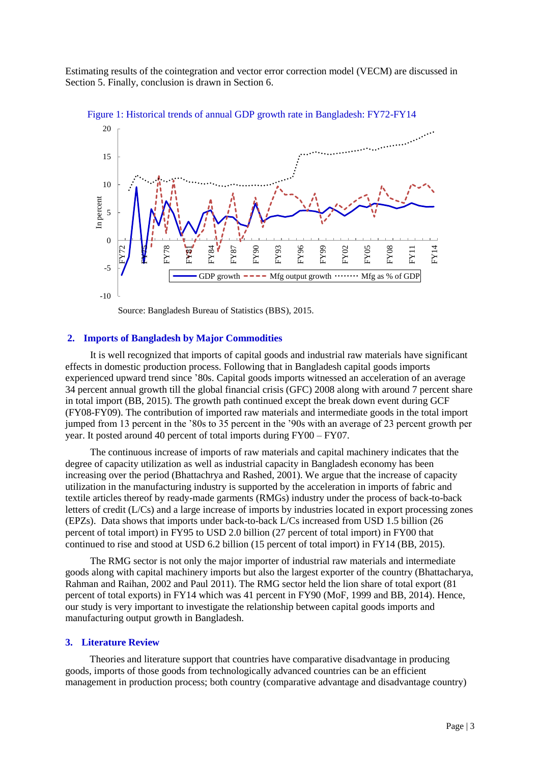Estimating results of the cointegration and vector error correction model (VECM) are discussed in Section 5. Finally, conclusion is drawn in Section 6.



Figure 1: Historical trends of annual GDP growth rate in Bangladesh: FY72-FY14

Source: Bangladesh Bureau of Statistics (BBS), 2015.

#### **2. Imports of Bangladesh by Major Commodities**

It is well recognized that imports of capital goods and industrial raw materials have significant effects in domestic production process. Following that in Bangladesh capital goods imports experienced upward trend since '80s. Capital goods imports witnessed an acceleration of an average 34 percent annual growth till the global financial crisis (GFC) 2008 along with around 7 percent share in total import (BB, 2015). The growth path continued except the break down event during GCF (FY08-FY09). The contribution of imported raw materials and intermediate goods in the total import jumped from 13 percent in the '80s to 35 percent in the '90s with an average of 23 percent growth per year. It posted around 40 percent of total imports during FY00 – FY07.

The continuous increase of imports of raw materials and capital machinery indicates that the degree of capacity utilization as well as industrial capacity in Bangladesh economy has been increasing over the period (Bhattachrya and Rashed, 2001). We argue that the increase of capacity utilization in the manufacturing industry is supported by the acceleration in imports of fabric and textile articles thereof by ready-made garments (RMGs) industry under the process of back-to-back letters of credit (L/Cs) and a large increase of imports by industries located in export processing zones (EPZs). Data shows that imports under back-to-back L/Cs increased from USD 1.5 billion (26 percent of total import) in FY95 to USD 2.0 billion (27 percent of total import) in FY00 that continued to rise and stood at USD 6.2 billion (15 percent of total import) in FY14 (BB, 2015).

The RMG sector is not only the major importer of industrial raw materials and intermediate goods along with capital machinery imports but also the largest exporter of the country (Bhattacharya, Rahman and Raihan, 2002 and Paul 2011). The RMG sector held the lion share of total export (81 percent of total exports) in FY14 which was 41 percent in FY90 (MoF, 1999 and BB, 2014). Hence, our study is very important to investigate the relationship between capital goods imports and manufacturing output growth in Bangladesh.

#### **3. Literature Review**

Theories and literature support that countries have comparative disadvantage in producing goods, imports of those goods from technologically advanced countries can be an efficient management in production process; both country (comparative advantage and disadvantage country)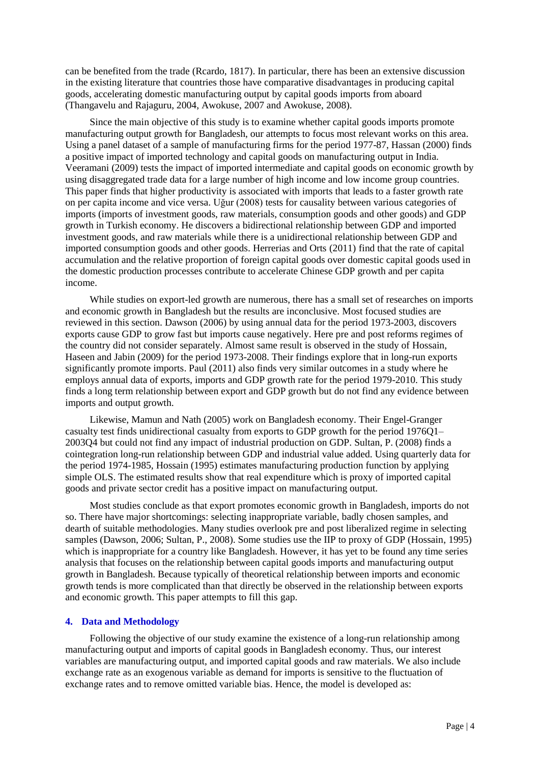can be benefited from the trade (Rcardo, 1817). In particular, there has been an extensive discussion in the existing literature that countries those have comparative disadvantages in producing capital goods, accelerating domestic manufacturing output by capital goods imports from aboard (Thangavelu and Rajaguru, 2004, Awokuse, 2007 and Awokuse, 2008).

Since the main objective of this study is to examine whether capital goods imports promote manufacturing output growth for Bangladesh, our attempts to focus most relevant works on this area. Using a panel dataset of a sample of manufacturing firms for the period 1977-87, Hassan (2000) finds a positive impact of imported technology and capital goods on manufacturing output in India. Veeramani (2009) tests the impact of imported intermediate and capital goods on economic growth by using disaggregated trade data for a large number of high income and low income group countries. This paper finds that higher productivity is associated with imports that leads to a faster growth rate on per capita income and vice versa. Uğur (2008) tests for causality between various categories of imports (imports of investment goods, raw materials, consumption goods and other goods) and GDP growth in Turkish economy. He discovers a bidirectional relationship between GDP and imported investment goods, and raw materials while there is a unidirectional relationship between GDP and imported consumption goods and other goods. Herrerias and Orts (2011) find that the rate of capital accumulation and the relative proportion of foreign capital goods over domestic capital goods used in the domestic production processes contribute to accelerate Chinese GDP growth and per capita income.

While studies on export-led growth are numerous, there has a small set of researches on imports and economic growth in Bangladesh but the results are inconclusive. Most focused studies are reviewed in this section. Dawson (2006) by using annual data for the period 1973-2003, discovers exports cause GDP to grow fast but imports cause negatively. Here pre and post reforms regimes of the country did not consider separately. Almost same result is observed in the study of Hossain, Haseen and Jabin (2009) for the period 1973-2008. Their findings explore that in long-run exports significantly promote imports. Paul (2011) also finds very similar outcomes in a study where he employs annual data of exports, imports and GDP growth rate for the period 1979-2010. This study finds a long term relationship between export and GDP growth but do not find any evidence between imports and output growth.

Likewise, Mamun and Nath (2005) work on Bangladesh economy. Their Engel-Granger casualty test finds unidirectional casualty from exports to GDP growth for the period 1976Q1– 2003Q4 but could not find any impact of industrial production on GDP. Sultan, P. (2008) finds a cointegration long-run relationship between GDP and industrial value added. Using quarterly data for the period 1974-1985, Hossain (1995) estimates manufacturing production function by applying simple OLS. The estimated results show that real expenditure which is proxy of imported capital goods and private sector credit has a positive impact on manufacturing output.

Most studies conclude as that export promotes economic growth in Bangladesh, imports do not so. There have major shortcomings: selecting inappropriate variable, badly chosen samples, and dearth of suitable methodologies. Many studies overlook pre and post liberalized regime in selecting samples (Dawson, 2006; Sultan, P., 2008). Some studies use the IIP to proxy of GDP (Hossain, 1995) which is inappropriate for a country like Bangladesh. However, it has yet to be found any time series analysis that focuses on the relationship between capital goods imports and manufacturing output growth in Bangladesh. Because typically of theoretical relationship between imports and economic growth tends is more complicated than that directly be observed in the relationship between exports and economic growth. This paper attempts to fill this gap.

## **4. Data and Methodology**

Following the objective of our study examine the existence of a long-run relationship among manufacturing output and imports of capital goods in Bangladesh economy. Thus, our interest variables are manufacturing output, and imported capital goods and raw materials. We also include exchange rate as an exogenous variable as demand for imports is sensitive to the fluctuation of exchange rates and to remove omitted variable bias. Hence, the model is developed as: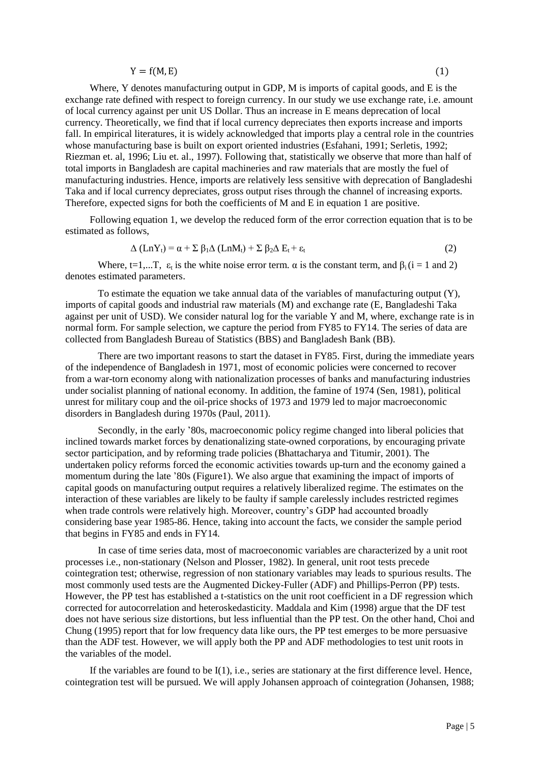$$
Y = f(M, E) \tag{1}
$$

Where, Y denotes manufacturing output in GDP, M is imports of capital goods, and E is the exchange rate defined with respect to foreign currency. In our study we use exchange rate, i.e. amount of local currency against per unit US Dollar. Thus an increase in E means deprecation of local currency. Theoretically, we find that if local currency depreciates then exports increase and imports fall. In empirical literatures, it is widely acknowledged that imports play a central role in the countries whose manufacturing base is built on export oriented industries (Esfahani, 1991; Serletis, 1992; Riezman et. al, 1996; Liu et. al., 1997). Following that, statistically we observe that more than half of total imports in Bangladesh are capital machineries and raw materials that are mostly the fuel of manufacturing industries. Hence, imports are relatively less sensitive with deprecation of Bangladeshi Taka and if local currency depreciates, gross output rises through the channel of increasing exports. Therefore, expected signs for both the coefficients of M and E in equation 1 are positive.

Following equation 1, we develop the reduced form of the error correction equation that is to be estimated as follows,

$$
\Delta (Ln Y_t) = \alpha + \sum \beta_1 \Delta (Ln M_t) + \sum \beta_2 \Delta E_t + \varepsilon_t
$$
\n(2)

Where, t=1,...T,  $\varepsilon_t$  is the white noise error term.  $\alpha$  is the constant term, and  $\beta_i$  (i = 1 and 2) denotes estimated parameters.

To estimate the equation we take annual data of the variables of manufacturing output (Y), imports of capital goods and industrial raw materials (M) and exchange rate (E, Bangladeshi Taka against per unit of USD). We consider natural log for the variable Y and M, where, exchange rate is in normal form. For sample selection, we capture the period from FY85 to FY14. The series of data are collected from Bangladesh Bureau of Statistics (BBS) and Bangladesh Bank (BB).

There are two important reasons to start the dataset in FY85. First, during the immediate years of the independence of Bangladesh in 1971, most of economic policies were concerned to recover from a war-torn economy along with nationalization processes of banks and manufacturing industries under socialist planning of national economy. In addition, the famine of 1974 (Sen, 1981), political unrest for military coup and the oil-price shocks of 1973 and 1979 led to major macroeconomic disorders in Bangladesh during 1970s (Paul, 2011).

Secondly, in the early '80s, macroeconomic policy regime changed into liberal policies that inclined towards market forces by denationalizing state-owned corporations, by encouraging private sector participation, and by reforming trade policies (Bhattacharya and Titumir, 2001). The undertaken policy reforms forced the economic activities towards up-turn and the economy gained a momentum during the late '80s (Figure1). We also argue that examining the impact of imports of capital goods on manufacturing output requires a relatively liberalized regime. The estimates on the interaction of these variables are likely to be faulty if sample carelessly includes restricted regimes when trade controls were relatively high. Moreover, country's GDP had accounted broadly considering base year 1985-86. Hence, taking into account the facts, we consider the sample period that begins in FY85 and ends in FY14.

In case of time series data, most of macroeconomic variables are characterized by a unit root processes i.e., non-stationary (Nelson and Plosser, 1982). In general, unit root tests precede cointegration test; otherwise, regression of non stationary variables may leads to spurious results. The most commonly used tests are the Augmented Dickey-Fuller (ADF) and Phillips-Perron (PP) tests. However, the PP test has established a t-statistics on the unit root coefficient in a DF regression which corrected for autocorrelation and heteroskedasticity. Maddala and Kim (1998) argue that the DF test does not have serious size distortions, but less influential than the PP test. On the other hand, Choi and Chung (1995) report that for low frequency data like ours, the PP test emerges to be more persuasive than the ADF test. However, we will apply both the PP and ADF methodologies to test unit roots in the variables of the model.

If the variables are found to be  $I(1)$ , i.e., series are stationary at the first difference level. Hence, cointegration test will be pursued. We will apply Johansen approach of cointegration (Johansen, 1988;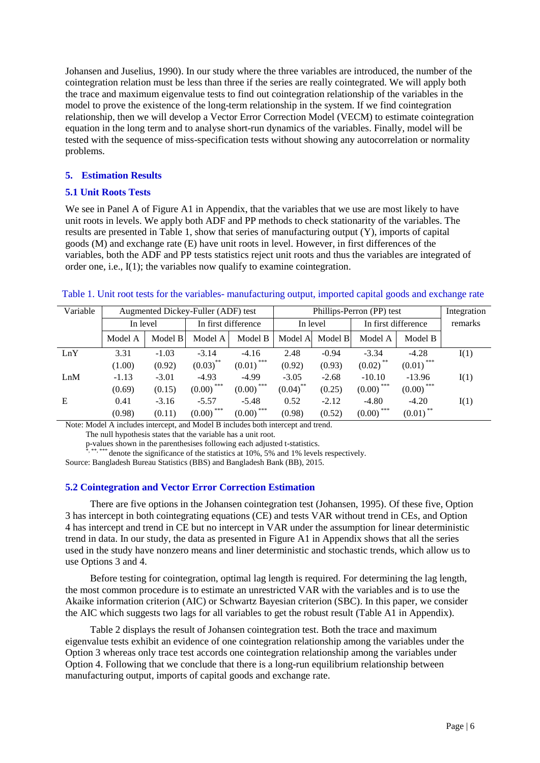Johansen and Juselius, 1990). In our study where the three variables are introduced, the number of the cointegration relation must be less than three if the series are really cointegrated. We will apply both the trace and maximum eigenvalue tests to find out cointegration relationship of the variables in the model to prove the existence of the long-term relationship in the system. If we find cointegration relationship, then we will develop a Vector Error Correction Model (VECM) to estimate cointegration equation in the long term and to analyse short-run dynamics of the variables. Finally, model will be tested with the sequence of miss-specification tests without showing any autocorrelation or normality problems.

## **5. Estimation Results**

## **5.1 Unit Roots Tests**

We see in Panel A of Figure A1 in Appendix, that the variables that we use are most likely to have unit roots in levels. We apply both ADF and PP methods to check stationarity of the variables. The results are presented in Table 1, show that series of manufacturing output (Y), imports of capital goods (M) and exchange rate (E) have unit roots in level. However, in first differences of the variables, both the ADF and PP tests statistics reject unit roots and thus the variables are integrated of order one, i.e., I(1); the variables now qualify to examine cointegration.

## Table 1. Unit root tests for the variables- manufacturing output, imported capital goods and exchange rate

| Variable | Augmented Dickey-Fuller (ADF) test |         |                        | Phillips-Perron (PP) test |             |         |                         | Integration             |         |
|----------|------------------------------------|---------|------------------------|---------------------------|-------------|---------|-------------------------|-------------------------|---------|
|          | In level                           |         | In first difference    |                           | In level    |         | In first difference     |                         | remarks |
|          | Model A                            | Model B | Model A                | Model B                   | Model A     | Model B | Model A                 | Model B                 |         |
| LnY      | 3.31                               | $-1.03$ | $-3.14$                | $-4.16$                   | 2.48        | $-0.94$ | $-3.34$                 | $-4.28$                 | I(1)    |
|          | (1.00)                             | (0.92)  | $(0.03)$ <sup>**</sup> | $(0.01)$ <sup>***</sup>   | (0.92)      | (0.93)  | $(0.02)$ <sup>**</sup>  | $(0.01)$ <sup>***</sup> |         |
| LnM      | $-1.13$                            | $-3.01$ | $-4.93$                | $-4.99$                   | $-3.05$     | $-2.68$ | $-10.10$                | $-13.96$                | I(1)    |
|          | (0.69)                             | (0.15)  | ***<br>(0.00)          | ***<br>(0.00)             | $(0.04)$ ** | (0.25)  | ***<br>(0.00)           | $(0.00)$ <sup>***</sup> |         |
| E        | 0.41                               | $-3.16$ | $-5.57$                | $-5.48$                   | 0.52        | $-2.12$ | $-4.80$                 | $-4.20$                 | I(1)    |
|          | (0.98)                             | (0.11)  | ***<br>(0.00)          | ***<br>(0.00)             | (0.98)      | (0.52)  | $(0.00)$ <sup>***</sup> | $(0.01)$ <sup>**</sup>  |         |

Note: Model A includes intercept, and Model B includes both intercept and trend.

The null hypothesis states that the variable has a unit root.

p-values shown in the parenthesises following each adjusted t-statistics.<br>\*, \*\*, \*\*\*\* denote the significance of the statistics at 10%, 5% and 1% levels respectively.

Source: Bangladesh Bureau Statistics (BBS) and Bangladesh Bank (BB), 2015.

## **5.2 Cointegration and Vector Error Correction Estimation**

There are five options in the Johansen cointegration test (Johansen, 1995). Of these five, Option 3 has intercept in both cointegrating equations (CE) and tests VAR without trend in CEs, and Option 4 has intercept and trend in CE but no intercept in VAR under the assumption for linear deterministic trend in data. In our study, the data as presented in Figure A1 in Appendix shows that all the series used in the study have nonzero means and liner deterministic and stochastic trends, which allow us to use Options 3 and 4.

Before testing for cointegration, optimal lag length is required. For determining the lag length, the most common procedure is to estimate an unrestricted VAR with the variables and is to use the Akaike information criterion (AIC) or Schwartz Bayesian criterion (SBC). In this paper, we consider the AIC which suggests two lags for all variables to get the robust result (Table A1 in Appendix).

Table 2 displays the result of Johansen cointegration test. Both the trace and maximum eigenvalue tests exhibit an evidence of one cointegration relationship among the variables under the Option 3 whereas only trace test accords one cointegration relationship among the variables under Option 4. Following that we conclude that there is a long-run equilibrium relationship between manufacturing output, imports of capital goods and exchange rate.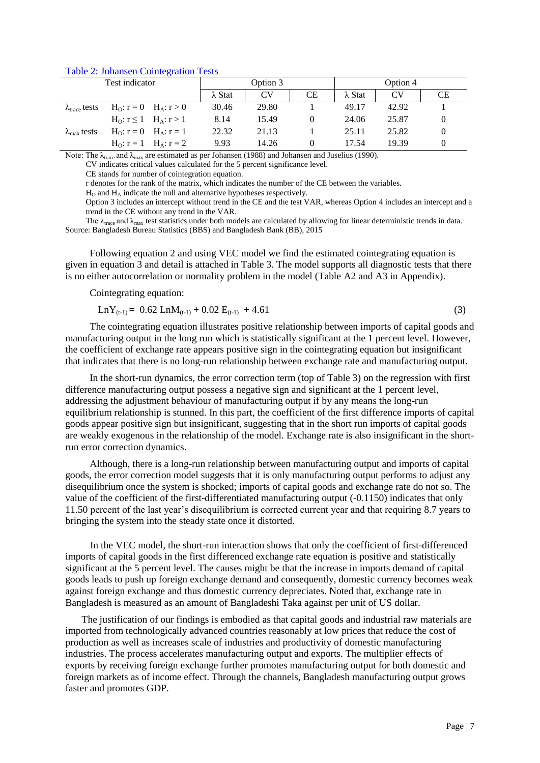|                                | Test indicator              | Option 3       |                |           | Option 4       |       |          |
|--------------------------------|-----------------------------|----------------|----------------|-----------|----------------|-------|----------|
|                                |                             | $\lambda$ Stat | CV <sub></sub> | <b>CE</b> | $\lambda$ Stat | CV    | СE       |
| $\lambda_{\text{trace}}$ tests | $H_0: r = 0$ $H_A: r > 0$   | 30.46          | 29.80          |           | 49.17          | 42.92 |          |
|                                | $H_0: r \le 1$ $H_A: r > 1$ | 8.14           | 15.49          | 0         | 24.06          | 25.87 | $\theta$ |
| $\lambda_{\text{max}}$ tests   | $H_0: r = 0$ $H_A: r = 1$   | 22.32          | 21.13          |           | 25.11          | 25.82 | $\theta$ |
|                                | $H_0: r = 1$ $H_A: r = 2$   | 9.93           | 14.26          |           | 17.54          | 19.39 | $\theta$ |

#### Table 2: Johansen Cointegration Tests

Note: The  $\lambda_{\text{trace}}$  and  $\lambda_{\text{max}}$  are estimated as per Johansen (1988) and Johansen and Juselius (1990).

CV indicates critical values calculated for the 5 percent significance level.

CE stands for number of cointegration equation.

r denotes for the rank of the matrix, which indicates the number of the CE between the variables.

 $H<sub>O</sub>$  and  $H<sub>A</sub>$  indicate the null and alternative hypotheses respectively.

Option 3 includes an intercept without trend in the CE and the test VAR, whereas Option 4 includes an intercept and a trend in the CE without any trend in the VAR.

The  $\lambda_{\text{trace}}$  and  $\lambda_{\text{max}}$  test statistics under both models are calculated by allowing for linear deterministic trends in data. Source: Bangladesh Bureau Statistics (BBS) and Bangladesh Bank (BB), 2015

Following equation 2 and using VEC model we find the estimated cointegrating equation is given in equation 3 and detail is attached in Table 3. The model supports all diagnostic tests that there is no either autocorrelation or normality problem in the model (Table A2 and A3 in Appendix).

Cointegrating equation:

$$
LnY_{(t-1)} = 0.62 LnM_{(t-1)} + 0.02 E_{(t-1)} + 4.61
$$
\n(3)

The cointegrating equation illustrates positive relationship between imports of capital goods and manufacturing output in the long run which is statistically significant at the 1 percent level. However, the coefficient of exchange rate appears positive sign in the cointegrating equation but insignificant that indicates that there is no long-run relationship between exchange rate and manufacturing output.

In the short-run dynamics, the error correction term (top of Table 3) on the regression with first difference manufacturing output possess a negative sign and significant at the 1 percent level, addressing the adjustment behaviour of manufacturing output if by any means the long-run equilibrium relationship is stunned. In this part, the coefficient of the first difference imports of capital goods appear positive sign but insignificant, suggesting that in the short run imports of capital goods are weakly exogenous in the relationship of the model. Exchange rate is also insignificant in the shortrun error correction dynamics.

Although, there is a long-run relationship between manufacturing output and imports of capital goods, the error correction model suggests that it is only manufacturing output performs to adjust any disequilibrium once the system is shocked; imports of capital goods and exchange rate do not so. The value of the coefficient of the first-differentiated manufacturing output (-0.1150) indicates that only 11.50 percent of the last year's disequilibrium is corrected current year and that requiring 8.7 years to bringing the system into the steady state once it distorted.

In the VEC model, the short-run interaction shows that only the coefficient of first-differenced imports of capital goods in the first differenced exchange rate equation is positive and statistically significant at the 5 percent level. The causes might be that the increase in imports demand of capital goods leads to push up foreign exchange demand and consequently, domestic currency becomes weak against foreign exchange and thus domestic currency depreciates. Noted that, exchange rate in Bangladesh is measured as an amount of Bangladeshi Taka against per unit of US dollar.

The justification of our findings is embodied as that capital goods and industrial raw materials are imported from technologically advanced countries reasonably at low prices that reduce the cost of production as well as increases scale of industries and productivity of domestic manufacturing industries. The process accelerates manufacturing output and exports. The multiplier effects of exports by receiving foreign exchange further promotes manufacturing output for both domestic and foreign markets as of income effect. Through the channels, Bangladesh manufacturing output grows faster and promotes GDP.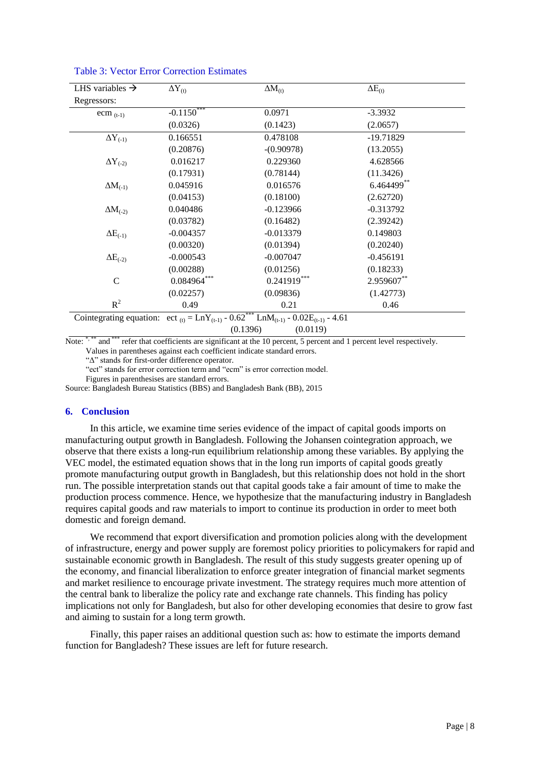| LHS variables $\rightarrow$ | $\Delta Y_{(t)}$                                                                                                                             | $\Delta M_{(t)}$ | $\Delta E_{(t)}$ |  |  |  |  |
|-----------------------------|----------------------------------------------------------------------------------------------------------------------------------------------|------------------|------------------|--|--|--|--|
| Regressors:                 |                                                                                                                                              |                  |                  |  |  |  |  |
| ecm $(t-1)$                 | $-0.11\overline{50}^{***}$                                                                                                                   | 0.0971           | $-3.3932$        |  |  |  |  |
|                             | (0.0326)                                                                                                                                     | (0.1423)         | (2.0657)         |  |  |  |  |
| $\Delta Y_{(-1)}$           | 0.166551                                                                                                                                     | 0.478108         | $-19.71829$      |  |  |  |  |
|                             | (0.20876)                                                                                                                                    | $-(0.90978)$     | (13.2055)        |  |  |  |  |
| $\Delta Y_{(-2)}$           | 0.016217                                                                                                                                     | 0.229360         | 4.628566         |  |  |  |  |
|                             | (0.17931)                                                                                                                                    | (0.78144)        | (11.3426)        |  |  |  |  |
| $\Delta M_{(-1)}$           | 0.045916                                                                                                                                     | 0.016576         | 6.464499**       |  |  |  |  |
|                             | (0.04153)                                                                                                                                    | (0.18100)        | (2.62720)        |  |  |  |  |
| $\Delta M_{(-2)}$           | 0.040486                                                                                                                                     | $-0.123966$      | $-0.313792$      |  |  |  |  |
|                             | (0.03782)                                                                                                                                    | (0.16482)        | (2.39242)        |  |  |  |  |
| $\Delta E_{(-1)}$           | $-0.004357$                                                                                                                                  | $-0.013379$      | 0.149803         |  |  |  |  |
|                             | (0.00320)                                                                                                                                    | (0.01394)        | (0.20240)        |  |  |  |  |
| $\Delta E_{(-2)}$           | $-0.000543$                                                                                                                                  | $-0.007047$      | $-0.456191$      |  |  |  |  |
|                             | (0.00288)                                                                                                                                    | (0.01256)        | (0.18233)        |  |  |  |  |
| $\mathsf{C}$                | $0.084964***$                                                                                                                                | $0.241919***$    | 2.959607**       |  |  |  |  |
|                             | (0.02257)                                                                                                                                    | (0.09836)        | (1.42773)        |  |  |  |  |
| $R^2$                       | 0.49                                                                                                                                         | 0.21             | 0.46             |  |  |  |  |
|                             | Cointegrating equation: ect <sub>(t)</sub> = LnY <sub>(t-1)</sub> - 0.62 <sup>***</sup> LnM <sub>(t-1)</sub> - 0.02E <sub>(t-1)</sub> - 4.61 |                  |                  |  |  |  |  |
| (0.1396)<br>(0.0119)        |                                                                                                                                              |                  |                  |  |  |  |  |

### Table 3: Vector Error Correction Estimates

Note: \*,\*\* and \*\*\* refer that coefficients are significant at the 10 percent, 5 percent and 1 percent level respectively. Values in parentheses against each coefficient indicate standard errors.

"Δ" stands for first-order difference operator.

"ect" stands for error correction term and "ecm" is error correction model.

Figures in parenthesises are standard errors.

Source: Bangladesh Bureau Statistics (BBS) and Bangladesh Bank (BB), 2015

### **6. Conclusion**

In this article, we examine time series evidence of the impact of capital goods imports on manufacturing output growth in Bangladesh. Following the Johansen cointegration approach, we observe that there exists a long-run equilibrium relationship among these variables. By applying the VEC model, the estimated equation shows that in the long run imports of capital goods greatly promote manufacturing output growth in Bangladesh, but this relationship does not hold in the short run. The possible interpretation stands out that capital goods take a fair amount of time to make the production process commence. Hence, we hypothesize that the manufacturing industry in Bangladesh requires capital goods and raw materials to import to continue its production in order to meet both domestic and foreign demand.

We recommend that export diversification and promotion policies along with the development of infrastructure, energy and power supply are foremost policy priorities to policymakers for rapid and sustainable economic growth in Bangladesh. The result of this study suggests greater opening up of the economy, and financial liberalization to enforce greater integration of financial market segments and market resilience to encourage private investment. The strategy requires much more attention of the central bank to liberalize the policy rate and exchange rate channels. This finding has policy implications not only for Bangladesh, but also for other developing economies that desire to grow fast and aiming to sustain for a long term growth.

Finally, this paper raises an additional question such as: how to estimate the imports demand function for Bangladesh? These issues are left for future research.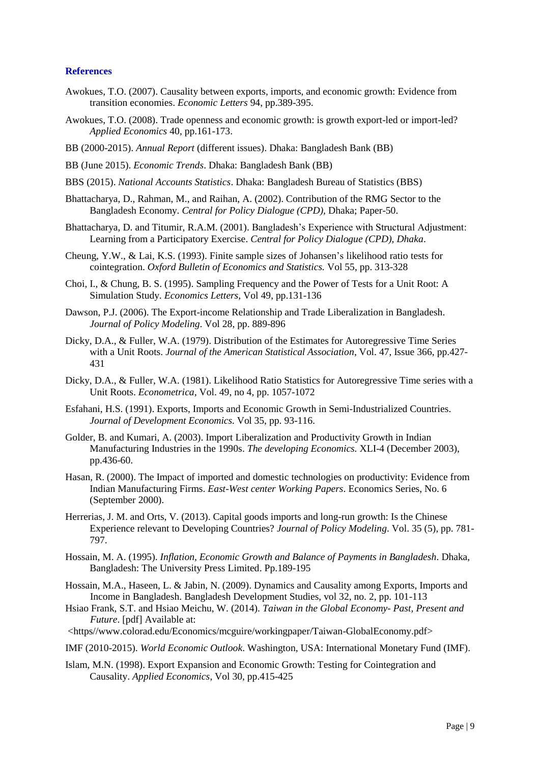### **References**

- Awokues, T.O. (2007). Causality between exports, imports, and economic growth: Evidence from transition economies. *Economic Letters* 94, pp.389-395.
- Awokues, T.O. (2008). Trade openness and economic growth: is growth export-led or import-led? *Applied Economics* 40, pp.161-173.
- BB (2000-2015). *Annual Report* (different issues). Dhaka: Bangladesh Bank (BB)
- BB (June 2015). *Economic Trends*. Dhaka: Bangladesh Bank (BB)
- BBS (2015). *National Accounts Statistics*. Dhaka: Bangladesh Bureau of Statistics (BBS)
- Bhattacharya, D., Rahman, M., and Raihan, A. (2002). Contribution of the RMG Sector to the Bangladesh Economy. *Central for Policy Dialogue (CPD),* Dhaka; Paper-50.
- Bhattacharya, D. and Titumir, R.A.M. (2001). Bangladesh's Experience with Structural Adjustment: Learning from a Participatory Exercise. *Central for Policy Dialogue (CPD), Dhaka*.
- Cheung, Y.W., & Lai, K.S. (1993). Finite sample sizes of Johansen's likelihood ratio tests for cointegration. *Oxford Bulletin of Economics and Statistics.* Vol 55, pp. 313-328
- Choi, I., & Chung, B. S. (1995). Sampling Frequency and the Power of Tests for a Unit Root: A Simulation Study. *Economics Letters,* Vol 49, pp.131-136
- Dawson, P.J. (2006). The Export-income Relationship and Trade Liberalization in Bangladesh. *Journal of Policy Modeling*. Vol 28, pp. 889-896
- Dicky, D.A., & Fuller, W.A. (1979). Distribution of the Estimates for Autoregressive Time Series with a Unit Roots. *Journal of the American Statistical Association*, Vol. 47, Issue 366, pp.427- 431
- Dicky, D.A., & Fuller, W.A. (1981). Likelihood Ratio Statistics for Autoregressive Time series with a Unit Roots. *Econometrica,* Vol. 49, no 4, pp. 1057-1072
- Esfahani, H.S. (1991). Exports, Imports and Economic Growth in Semi-Industrialized Countries. *Journal of Development Economics.* Vol 35, pp. 93-116.
- Golder, B. and Kumari, A. (2003). Import Liberalization and Productivity Growth in Indian Manufacturing Industries in the 1990s. *The developing Economics.* XLI-4 (December 2003), pp.436-60.
- Hasan, R. (2000). The Impact of imported and domestic technologies on productivity: Evidence from Indian Manufacturing Firms. *East-West center Working Papers*. Economics Series, No. 6 (September 2000).
- Herrerias, J. M. and Orts, V. (2013). Capital goods imports and long-run growth: Is the Chinese Experience relevant to Developing Countries? *Journal of Policy Modeling*. Vol. 35 (5), pp. 781- 797.
- Hossain, M. A. (1995). *Inflation, Economic Growth and Balance of Payments in Bangladesh*. Dhaka, Bangladesh: The University Press Limited. Pp.189-195
- Hossain, M.A., Haseen, L. & Jabin, N. (2009). Dynamics and Causality among Exports, Imports and Income in Bangladesh. Bangladesh Development Studies, vol 32, no. 2, pp. 101-113
- Hsiao Frank, S.T. and Hsiao Meichu, W. (2014). *Taiwan in the Global Economy- Past, Present and Future*. [pdf] Available at:
- <https//www.colorad.edu/Economics/mcguire/workingpaper/Taiwan-GlobalEconomy.pdf>
- IMF (2010-2015). *World Economic Outlook*. Washington, USA: International Monetary Fund (IMF).
- Islam, M.N. (1998). Export Expansion and Economic Growth: Testing for Cointegration and Causality. *Applied Economics*, Vol 30, pp.415-425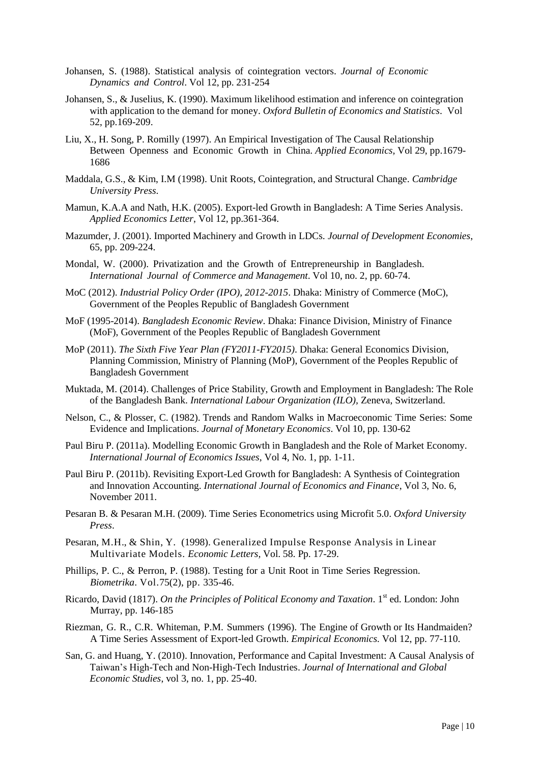- Johansen, S. (1988). Statistical analysis of cointegration vectors. *Journal of Economic Dynamics and Control*. Vol 12, pp. 231-254
- Johansen, S., & Juselius, K. (1990). Maximum likelihood estimation and inference on cointegration with application to the demand for money. *Oxford Bulletin of Economics and Statistics*. Vol 52, pp.169-209.
- Liu, X., H. Song, P. Romilly (1997). An Empirical Investigation of The Causal Relationship Between Openness and Economic Growth in China. *Applied Economics,* Vol 29, pp.1679- 1686
- Maddala, G.S., & Kim, I.M (1998). Unit Roots, Cointegration, and Structural Change. *Cambridge University Press*.
- Mamun, K.A.A and Nath, H.K. (2005). Export-led Growth in Bangladesh: A Time Series Analysis. *Applied Economics Letter*, Vol 12, pp.361-364.
- Mazumder, J. (2001). Imported Machinery and Growth in LDCs. *Journal of Development Economies*, 65, pp. 209-224.
- Mondal, W. (2000). Privatization and the Growth of Entrepreneurship in Bangladesh. *International Journal of Commerce and Management*. Vol 10, no. 2, pp. 60-74.
- MoC (2012). *Industrial Policy Order (IPO), 2012-2015*. Dhaka: Ministry of Commerce (MoC), Government of the Peoples Republic of Bangladesh Government
- MoF (1995-2014). *Bangladesh Economic Review*. Dhaka: Finance Division, Ministry of Finance (MoF), Government of the Peoples Republic of Bangladesh Government
- MoP (2011). *The Sixth Five Year Plan (FY2011-FY2015)*. Dhaka: General Economics Division, Planning Commission, Ministry of Planning (MoP), Government of the Peoples Republic of Bangladesh Government
- Muktada, M. (2014). Challenges of Price Stability, Growth and Employment in Bangladesh: The Role of the Bangladesh Bank. *International Labour Organization (ILO),* Zeneva, Switzerland.
- Nelson, C., & Plosser, C. (1982). Trends and Random Walks in Macroeconomic Time Series: Some Evidence and Implications. *Journal of Monetary Economics*. Vol 10, pp. 130-62
- Paul Biru P. (2011a). Modelling Economic Growth in Bangladesh and the Role of Market Economy. *International Journal of Economics Issues*, Vol 4, No. 1, pp. 1-11.
- Paul Biru P. (2011b). Revisiting Export-Led Growth for Bangladesh: A Synthesis of Cointegration and Innovation Accounting. *International Journal of Economics and Finance*, Vol 3, No. 6, November 2011.
- Pesaran B. & Pesaran M.H. (2009). Time Series Econometrics using Microfit 5.0. *Oxford University Press*.
- Pesaran, M.H., & Shin, Y. (1998). Generalized Impulse Response Analysis in Linear Multivariate Models. *Economic Letters,* Vol. 58. Pp. 17-29.
- Phillips, P. C., & Perron, P. (1988). Testing for a Unit Root in Time Series Regression. *Biometrika*. Vol.75(2), pp. 335-46.
- Ricardo, David (1817). *On the Principles of Political Economy and Taxation*. 1st ed. London: John Murray, pp. 146-185
- Riezman, G. R., C.R. Whiteman, P.M. Summers (1996). The Engine of Growth or Its Handmaiden? A Time Series Assessment of Export-led Growth. *Empirical Economics.* Vol 12, pp. 77-110.
- San, G. and Huang, Y. (2010). Innovation, Performance and Capital Investment: A Causal Analysis of Taiwan's High-Tech and Non-High-Tech Industries. *Journal of International and Global Economic Studies*, vol 3, no. 1, pp. 25-40.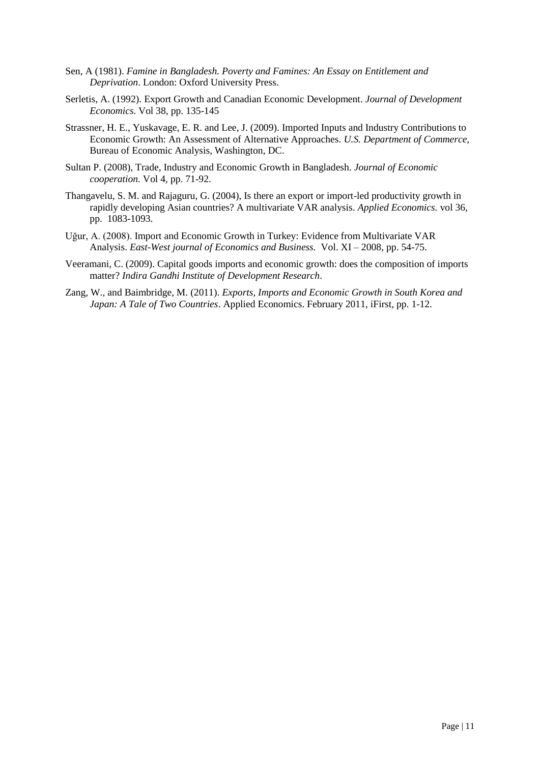- Sen, A (1981). *Famine in Bangladesh. Poverty and Famines: An Essay on Entitlement and Deprivation*. London: Oxford University Press.
- Serletis, A. (1992). Export Growth and Canadian Economic Development. *Journal of Development Economics.* Vol 38, pp. 135-145
- Strassner, H. E., Yuskavage, E. R. and Lee, J. (2009). Imported Inputs and Industry Contributions to Economic Growth: An Assessment of Alternative Approaches. *U.S. Department of Commerce,* Bureau of Economic Analysis, Washington, DC.
- Sultan P. (2008), Trade, Industry and Economic Growth in Bangladesh. *Journal of Economic cooperation.* Vol 4, pp. 71-92.
- Thangavelu, S. M. and Rajaguru, G. (2004), Is there an export or import-led productivity growth in rapidly developing Asian countries? A multivariate VAR analysis. *Applied Economics.* vol 36, pp. 1083-1093.
- Uğur, A. (2008). Import and Economic Growth in Turkey: Evidence from Multivariate VAR Analysis. *East-West journal of Economics and Business.* Vol. XI – 2008, pp. 54-75.
- Veeramani, C. (2009). Capital goods imports and economic growth: does the composition of imports matter? *Indira Gandhi Institute of Development Research*.
- Zang, W., and Baimbridge, M. (2011). *Exports, Imports and Economic Growth in South Korea and Japan: A Tale of Two Countries*. Applied Economics. February 2011, iFirst, pp. 1-12.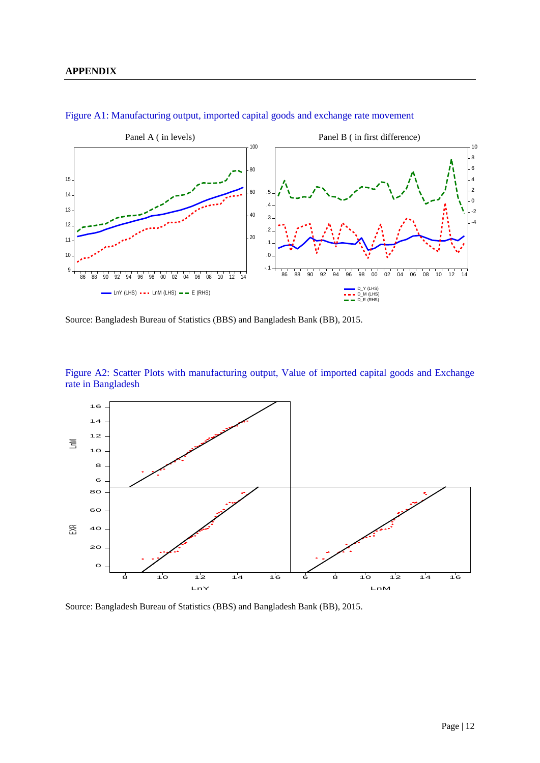

Figure A1: Manufacturing output, imported capital goods and exchange rate movement

Source: Bangladesh Bureau of Statistics (BBS) and Bangladesh Bank (BB), 2015.

Figure A2: Scatter Plots with manufacturing output, Value of imported capital goods and Exchange rate in Bangladesh



Source: Bangladesh Bureau of Statistics (BBS) and Bangladesh Bank (BB), 2015.